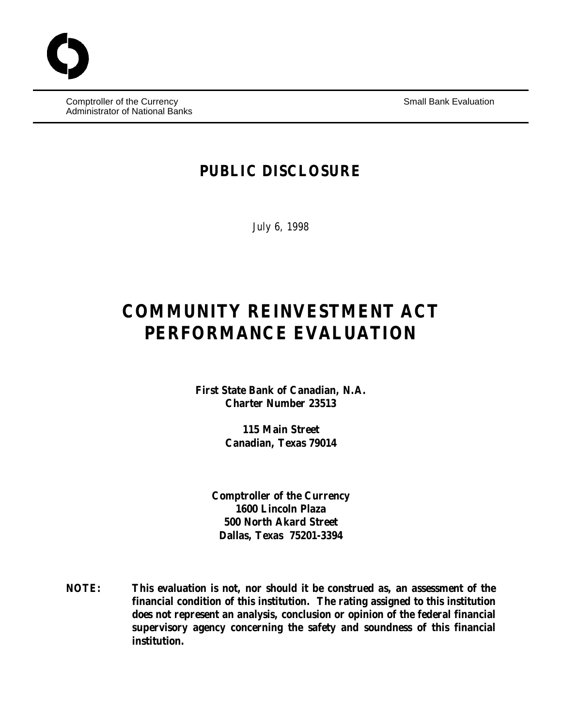Comptroller of the Currency **Small Bank Evaluation** Small Bank Evaluation Administrator of National Banks

# **PUBLIC DISCLOSURE**

July 6, 1998

# **COMMUNITY REINVESTMENT ACT PERFORMANCE EVALUATION**

**First State Bank of Canadian, N.A. Charter Number 23513**

> **115 Main Street Canadian, Texas 79014**

**Comptroller of the Currency 1600 Lincoln Plaza 500 North Akard Street Dallas, Texas 75201-3394**

**NOTE: This evaluation is not, nor should it be construed as, an assessment of the financial condition of this institution. The rating assigned to this institution does not represent an analysis, conclusion or opinion of the federal financial supervisory agency concerning the safety and soundness of this financial institution.**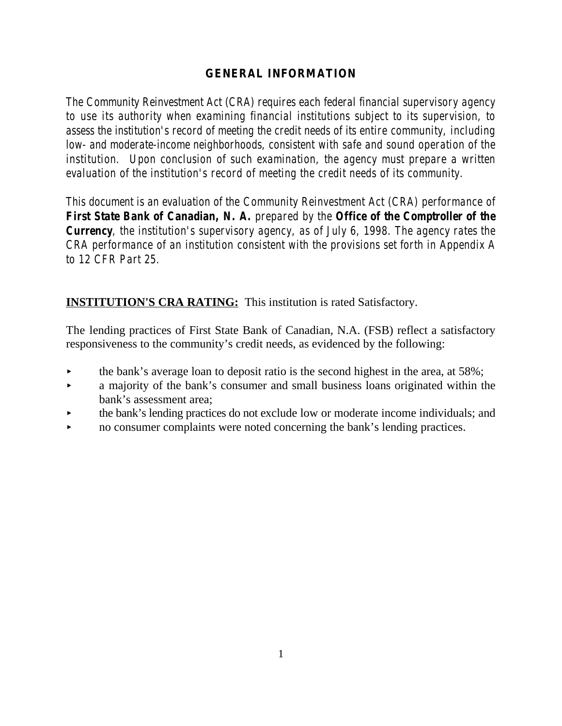# **GENERAL INFORMATION**

*The Community Reinvestment Act (CRA) requires each federal financial supervisory agency to use its authority when examining financial institutions subject to its supervision, to assess the institution's record of meeting the credit needs of its entire community, including low- and moderate-income neighborhoods, consistent with safe and sound operation of the institution. Upon conclusion of such examination, the agency must prepare a written evaluation of the institution's record of meeting the credit needs of its community.* 

*This document is an evaluation of the Community Reinvestment Act (CRA) performance of First State Bank of Canadian, N. A. prepared by the Office of the Comptroller of the Currency, the institution's supervisory agency, as of July 6, 1998. The agency rates the CRA performance of an institution consistent with the provisions set forth in Appendix A to 12 CFR Part 25.*

# **INSTITUTION'S CRA RATING:** This institution is rated Satisfactory.

The lending practices of First State Bank of Canadian, N.A. (FSB) reflect a satisfactory responsiveness to the community's credit needs, as evidenced by the following:

- the bank's average loan to deposit ratio is the second highest in the area, at 58%;
- < a majority of the bank's consumer and small business loans originated within the bank's assessment area;
- < the bank's lending practices do not exclude low or moderate income individuals; and
- no consumer complaints were noted concerning the bank's lending practices.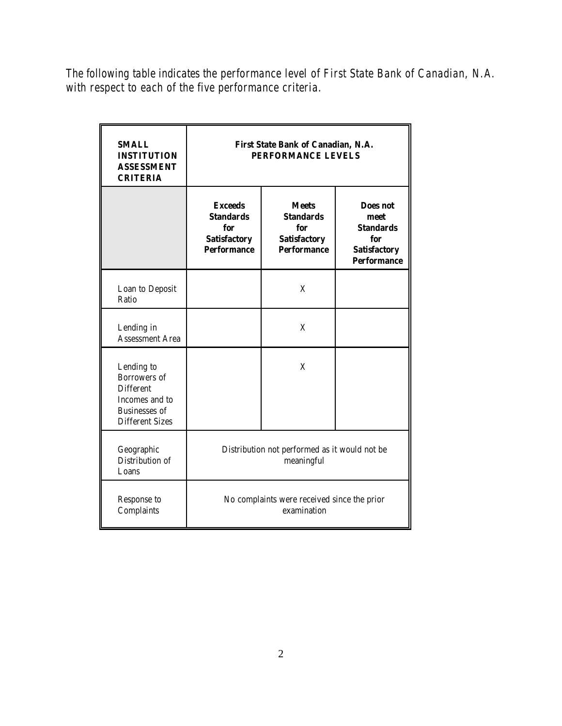*The following table indicates the performance level of First State Bank of Canadian, N.A. with respect to each of the five performance criteria.*

| <b>SMALL</b><br><b>INSTITUTION</b><br><b>ASSESSMENT</b><br><b>CRITERIA</b>                                         | First State Bank of Canadian, N.A.<br>PERFORMANCE LEVELS                               |                                                                                      |                                                                                          |
|--------------------------------------------------------------------------------------------------------------------|----------------------------------------------------------------------------------------|--------------------------------------------------------------------------------------|------------------------------------------------------------------------------------------|
|                                                                                                                    | <b>Exceeds</b><br><b>Standards</b><br>for<br><b>Satisfactory</b><br><b>Performance</b> | <b>Meets</b><br><b>Standards</b><br>for<br><b>Satisfactory</b><br><b>Performance</b> | Does not<br>meet<br><b>Standards</b><br>for<br><b>Satisfactory</b><br><b>Performance</b> |
| Loan to Deposit<br>Ratio                                                                                           |                                                                                        | X                                                                                    |                                                                                          |
| Lending in<br><b>Assessment Area</b>                                                                               |                                                                                        | X                                                                                    |                                                                                          |
| Lending to<br>Borrowers of<br><b>Different</b><br>Incomes and to<br><b>Businesses</b> of<br><b>Different Sizes</b> |                                                                                        | X                                                                                    |                                                                                          |
| Geographic<br>Distribution of<br>Loans                                                                             | Distribution not performed as it would not be<br>meaningful                            |                                                                                      |                                                                                          |
| Response to<br>Complaints                                                                                          | No complaints were received since the prior<br>examination                             |                                                                                      |                                                                                          |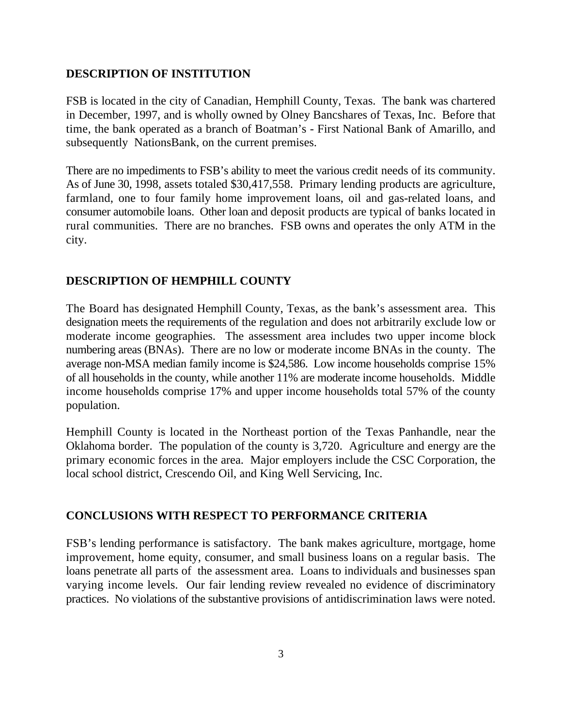#### **DESCRIPTION OF INSTITUTION**

FSB is located in the city of Canadian, Hemphill County, Texas. The bank was chartered in December, 1997, and is wholly owned by Olney Bancshares of Texas, Inc. Before that time, the bank operated as a branch of Boatman's - First National Bank of Amarillo, and subsequently NationsBank, on the current premises.

There are no impediments to FSB's ability to meet the various credit needs of its community. As of June 30, 1998, assets totaled \$30,417,558. Primary lending products are agriculture, farmland, one to four family home improvement loans, oil and gas-related loans, and consumer automobile loans. Other loan and deposit products are typical of banks located in rural communities. There are no branches. FSB owns and operates the only ATM in the city.

## **DESCRIPTION OF HEMPHILL COUNTY**

The Board has designated Hemphill County, Texas, as the bank's assessment area. This designation meets the requirements of the regulation and does not arbitrarily exclude low or moderate income geographies. The assessment area includes two upper income block numbering areas (BNAs). There are no low or moderate income BNAs in the county. The average non-MSA median family income is \$24,586. Low income households comprise 15% of all households in the county, while another 11% are moderate income households. Middle income households comprise 17% and upper income households total 57% of the county population.

Hemphill County is located in the Northeast portion of the Texas Panhandle, near the Oklahoma border. The population of the county is 3,720. Agriculture and energy are the primary economic forces in the area. Major employers include the CSC Corporation, the local school district, Crescendo Oil, and King Well Servicing, Inc.

#### **CONCLUSIONS WITH RESPECT TO PERFORMANCE CRITERIA**

FSB's lending performance is satisfactory. The bank makes agriculture, mortgage, home improvement, home equity, consumer, and small business loans on a regular basis. The loans penetrate all parts of the assessment area. Loans to individuals and businesses span varying income levels. Our fair lending review revealed no evidence of discriminatory practices. No violations of the substantive provisions of antidiscrimination laws were noted.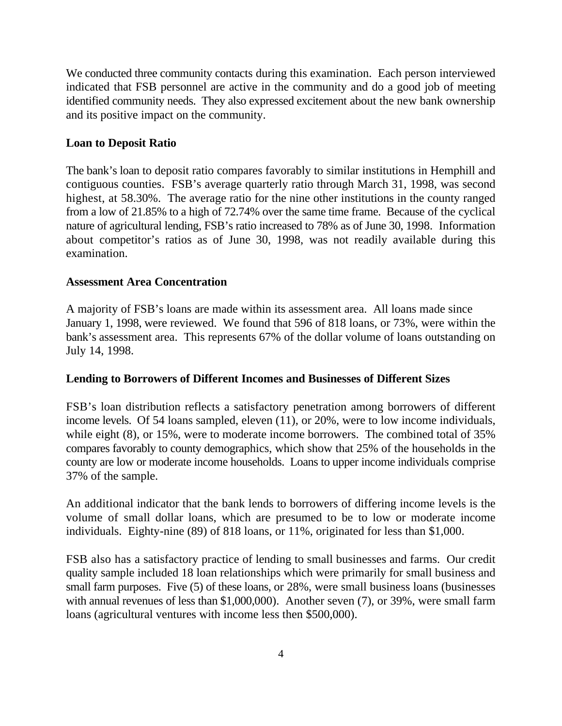We conducted three community contacts during this examination. Each person interviewed indicated that FSB personnel are active in the community and do a good job of meeting identified community needs. They also expressed excitement about the new bank ownership and its positive impact on the community.

# **Loan to Deposit Ratio**

The bank's loan to deposit ratio compares favorably to similar institutions in Hemphill and contiguous counties. FSB's average quarterly ratio through March 31, 1998, was second highest, at 58.30%. The average ratio for the nine other institutions in the county ranged from a low of 21.85% to a high of 72.74% over the same time frame. Because of the cyclical nature of agricultural lending, FSB's ratio increased to 78% as of June 30, 1998. Information about competitor's ratios as of June 30, 1998, was not readily available during this examination.

#### **Assessment Area Concentration**

A majority of FSB's loans are made within its assessment area. All loans made since January 1, 1998, were reviewed. We found that 596 of 818 loans, or 73%, were within the bank's assessment area. This represents 67% of the dollar volume of loans outstanding on July 14, 1998.

#### **Lending to Borrowers of Different Incomes and Businesses of Different Sizes**

FSB's loan distribution reflects a satisfactory penetration among borrowers of different income levels. Of 54 loans sampled, eleven (11), or 20%, were to low income individuals, while eight (8), or 15%, were to moderate income borrowers. The combined total of 35% compares favorably to county demographics, which show that 25% of the households in the county are low or moderate income households. Loans to upper income individuals comprise 37% of the sample.

An additional indicator that the bank lends to borrowers of differing income levels is the volume of small dollar loans, which are presumed to be to low or moderate income individuals. Eighty-nine (89) of 818 loans, or 11%, originated for less than \$1,000.

FSB also has a satisfactory practice of lending to small businesses and farms. Our credit quality sample included 18 loan relationships which were primarily for small business and small farm purposes. Five (5) of these loans, or 28%, were small business loans (businesses with annual revenues of less than \$1,000,000). Another seven (7), or 39%, were small farm loans (agricultural ventures with income less then \$500,000).